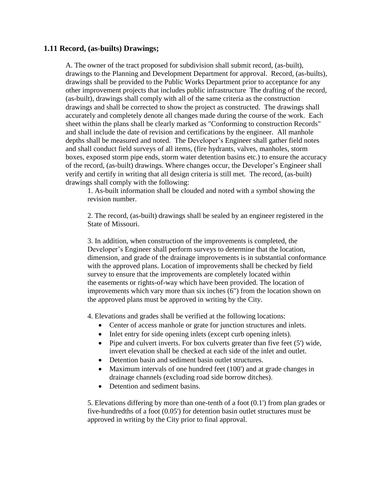## **1.11 Record, (as-builts) Drawings;**

A. The owner of the tract proposed for subdivision shall submit record, (as-built), drawings to the Planning and Development Department for approval. Record, (as-builts), drawings shall be provided to the Public Works Department prior to acceptance for any other improvement projects that includes public infrastructure The drafting of the record, (as-built), drawings shall comply with all of the same criteria as the construction drawings and shall be corrected to show the project as constructed. The drawings shall accurately and completely denote all changes made during the course of the work. Each sheet within the plans shall be clearly marked as "Conforming to construction Records" and shall include the date of revision and certifications by the engineer. All manhole depths shall be measured and noted. The Developer's Engineer shall gather field notes and shall conduct field surveys of all items, (fire hydrants, valves, manholes, storm boxes, exposed storm pipe ends, storm water detention basins etc.) to ensure the accuracy of the record, (as-built) drawings. Where changes occur, the Developer's Engineer shall verify and certify in writing that all design criteria is still met. The record, (as-built) drawings shall comply with the following:

1. As-built information shall be clouded and noted with a symbol showing the revision number.

2. The record, (as-built) drawings shall be sealed by an engineer registered in the State of Missouri.

3. In addition, when construction of the improvements is completed, the Developer's Engineer shall perform surveys to determine that the location, dimension, and grade of the drainage improvements is in substantial conformance with the approved plans. Location of improvements shall be checked by field survey to ensure that the improvements are completely located within the easements or rights-of-way which have been provided. The location of improvements which vary more than six inches (6") from the location shown on the approved plans must be approved in writing by the City.

4. Elevations and grades shall be verified at the following locations:

- Center of access manhole or grate for junction structures and inlets.
- Inlet entry for side opening inlets (except curb opening inlets).
- Pipe and culvert inverts. For box culverts greater than five feet  $(5')$  wide, invert elevation shall be checked at each side of the inlet and outlet.
- Detention basin and sediment basin outlet structures.
- Maximum intervals of one hundred feet (100') and at grade changes in drainage channels (excluding road side borrow ditches).
- Detention and sediment basins.

 5. Elevations differing by more than one-tenth of a foot (0.1') from plan grades or five-hundredths of a foot (0.05') for detention basin outlet structures must be approved in writing by the City prior to final approval.